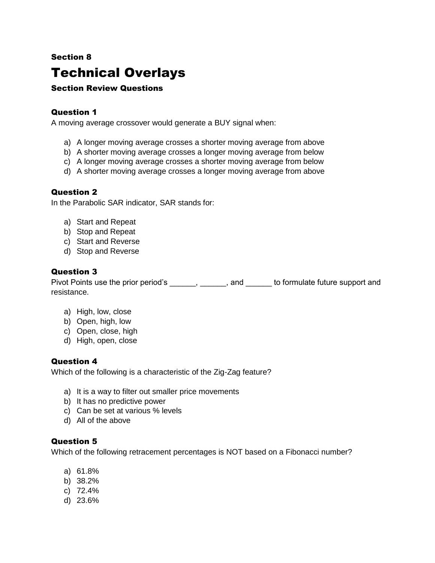### Section 8

## Technical Overlays

#### Section Review Questions

#### Question 1

A moving average crossover would generate a BUY signal when:

- a) A longer moving average crosses a shorter moving average from above
- b) A shorter moving average crosses a longer moving average from below
- c) A longer moving average crosses a shorter moving average from below
- d) A shorter moving average crosses a longer moving average from above

#### Question 2

In the Parabolic SAR indicator, SAR stands for:

- a) Start and Repeat
- b) Stop and Repeat
- c) Start and Reverse
- d) Stop and Reverse

#### Question 3

Pivot Points use the prior period's \_\_\_\_\_\_, \_\_\_\_\_\_, and \_\_\_\_\_\_ to formulate future support and resistance.

- a) High, low, close
- b) Open, high, low
- c) Open, close, high
- d) High, open, close

#### Question 4

Which of the following is a characteristic of the Zig-Zag feature?

- a) It is a way to filter out smaller price movements
- b) It has no predictive power
- c) Can be set at various % levels
- d) All of the above

#### Question 5

Which of the following retracement percentages is NOT based on a Fibonacci number?

- a) 61.8%
- b) 38.2%
- c) 72.4%
- d) 23.6%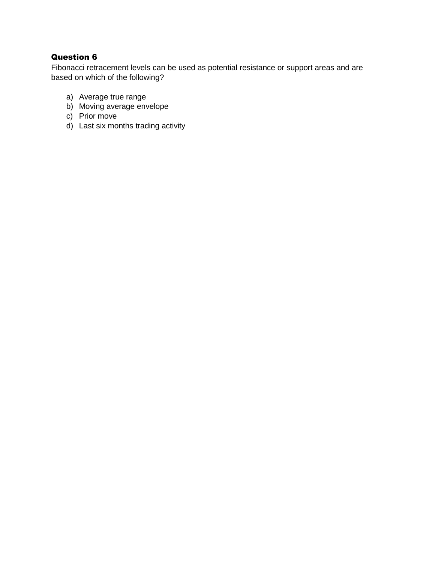## Question 6

Fibonacci retracement levels can be used as potential resistance or support areas and are based on which of the following?

- a) Average true range
- b) Moving average envelope
- c) Prior move
- d) Last six months trading activity